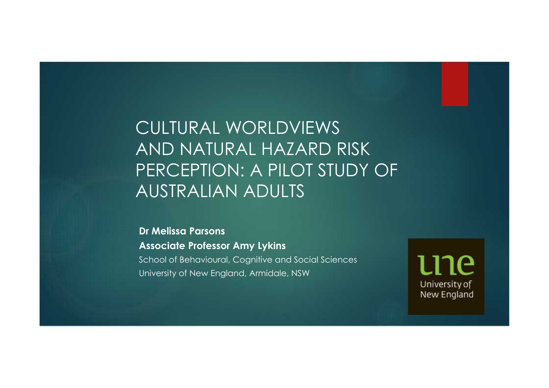# CULTURAL WORLDVIEWS AND NATURAL HAZARD RISK PERCEPTION: A PILOT STUDY OF AUSTRALIAN ADULTS

**Dr Melissa Parsons Associate Professor Amy Lykins** School of Behavioural, Cognitive and Social Sciences University of New England, Armidale, NSW

ገሮ University of New England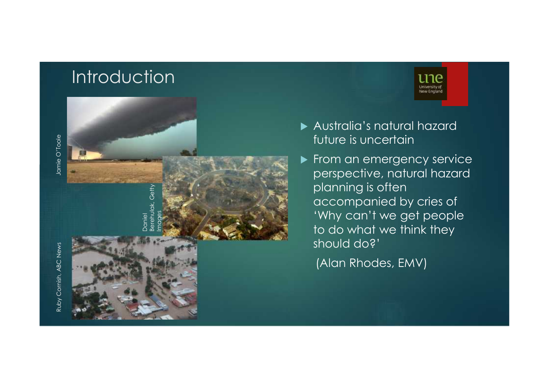#### Introduction





 Australia's natural hazard future is uncertain

New Englan

From an emergency service perspective, natural hazard planning is often accompanied by cries of 'Why can't we get people to do what we think they should do?'

(Alan Rhodes, EMV)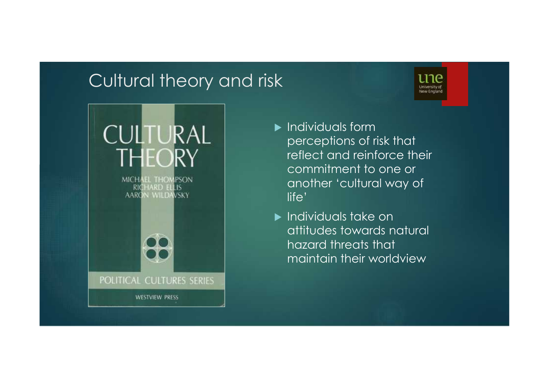#### Cultural theory and risk





- $\blacktriangleright$  Individuals form perceptions of risk that reflect and reinforce their commitment to one or another 'cultural way of life'
- **Individuals take on** attitudes towards natural hazard threats that maintain their worldview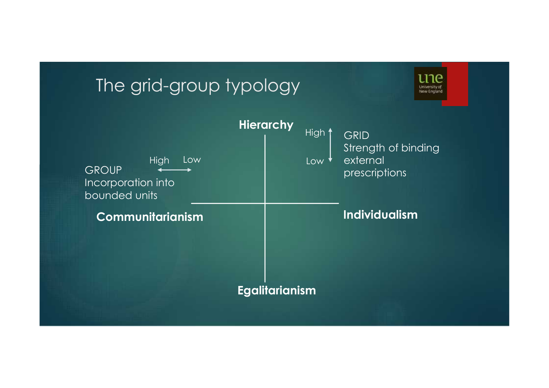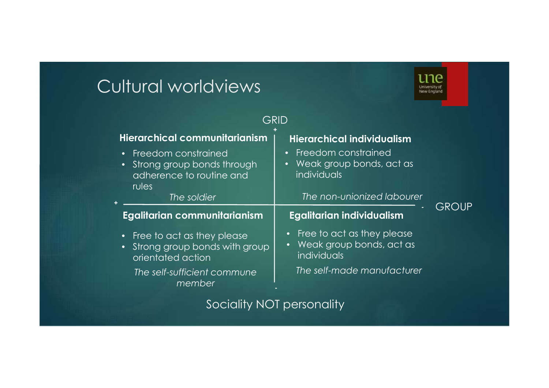# Cultural worldviews



| GRID                                                                                                                                                     |                                                                                                            |              |
|----------------------------------------------------------------------------------------------------------------------------------------------------------|------------------------------------------------------------------------------------------------------------|--------------|
| Hierarchical communitarianism<br><b>Freedom constrained</b><br>$\bullet$<br>Strong group bonds through<br>$\bullet$<br>adherence to routine and<br>rules | <b>Hierarchical individualism</b><br><b>Freedom constrained</b><br>Weak group bonds, act as<br>individuals |              |
| The soldier                                                                                                                                              | The non-unionized labourer                                                                                 | <b>GROUP</b> |
| Egalitarian communitarianism                                                                                                                             | Egalitarian individualism                                                                                  |              |
| • Free to act as they please<br>• Strong group bonds with group<br>orientated action                                                                     | Free to act as they please<br>$\bullet$<br>Weak group bonds, act as<br>$\bullet$<br><i>individuals</i>     |              |
| The self-sufficient commune<br>member                                                                                                                    | The self-made manufacturer                                                                                 |              |
| Sociality NOT personality                                                                                                                                |                                                                                                            |              |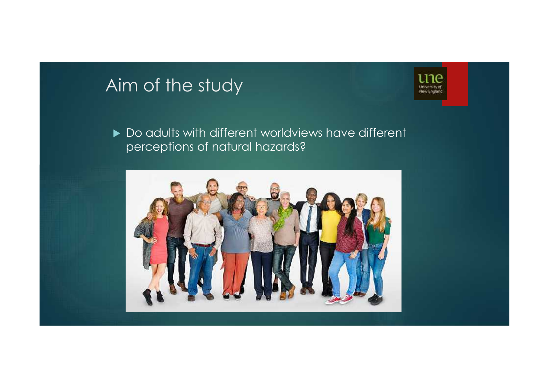# Aim of the study



▶ Do adults with different worldviews have different perceptions of natural hazards?

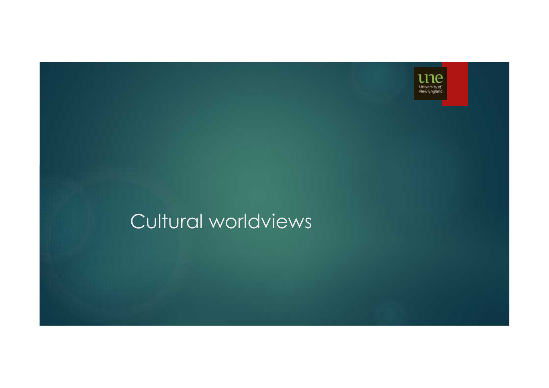

# Cultural worldviews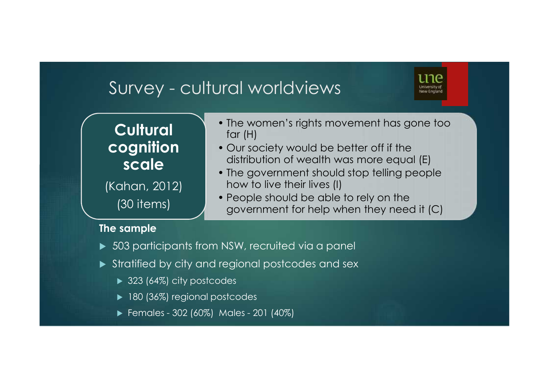### Survey - cultural worldviews

#### **Cultural cognition scale**

(Kahan, 2012) (30 items)

- The women's rights movement has gone too far (H)
- Our society would be better off if the distribution of wealth was more equal (E)
- The government should stop telling people how to live their lives (I)
- People should be able to rely on the government for help when they need it (C)

#### **The sample**

- 503 participants from NSW, recruited via a panel
- Stratified by city and regional postcodes and sex
	- ▶ 323 (64%) city postcodes
	- ▶ 180 (36%) regional postcodes
	- Females 302 (60%) Males 201 (40%)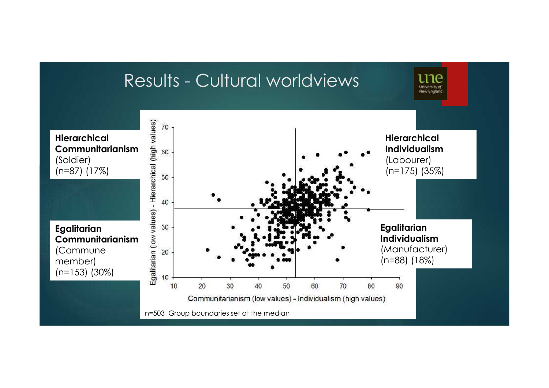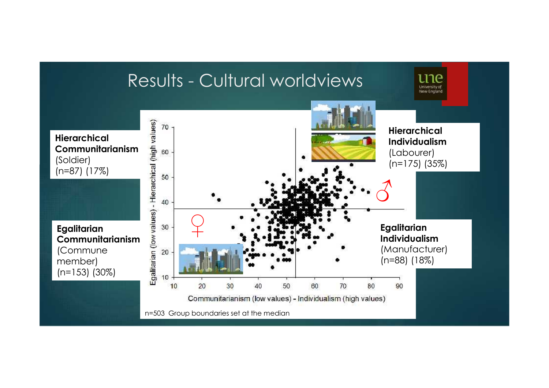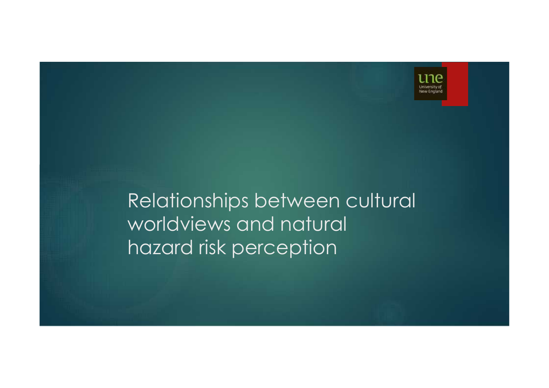

# Relationships between cultural worldviews and natural hazard risk perception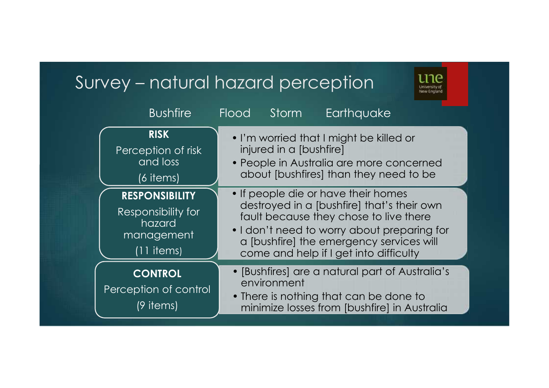#### Survey – natural hazard perception

• I'm worried that I might be killed or injured in a [bushfire] • People in Australia are more concerned about [bushfires] than they need to be **RISK** Perception of risk and loss (6 items) • If people die or have their homes destroyed in a [bushfire] that's their own fault because they chose to live there • I don't need to worry about preparing for a [bushfire] the emergency services will come and help if I get into difficulty **RESPONSIBILITY** Responsibility for hazard management (11 items) • [Bushfires] are a natural part of Australia's environment • There is nothing that can be done to minimize losses from [bushfire] in Australia **CONTROL** Perception of control (9 items) Bushfire Flood Storm Earthquake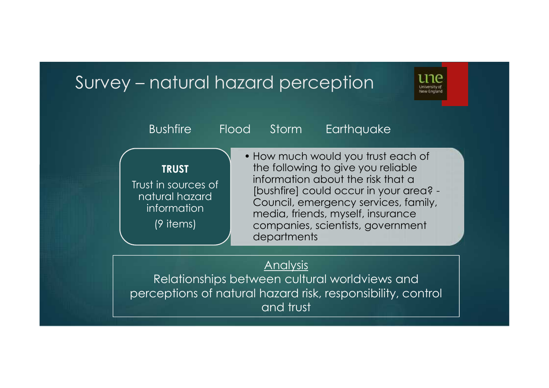#### Survey – natural hazard perception



| <b>Bushfire</b>                                                                   | Earthquake<br>Storm<br>Flood                                                                                                                                                                                                                                                             |
|-----------------------------------------------------------------------------------|------------------------------------------------------------------------------------------------------------------------------------------------------------------------------------------------------------------------------------------------------------------------------------------|
| <b>TRUST</b><br>Trust in sources of<br>natural hazard<br>information<br>(9 items) | • How much would you trust each of<br>the following to give you reliable<br>information about the risk that a<br>[bushfire] could occur in your area? -<br>Council, emergency services, family,<br>media, friends, myself, insurance<br>companies, scientists, government<br>departments |

#### **Analysis**

Relationships between cultural worldviews and perceptions of natural hazard risk, responsibility, control and trust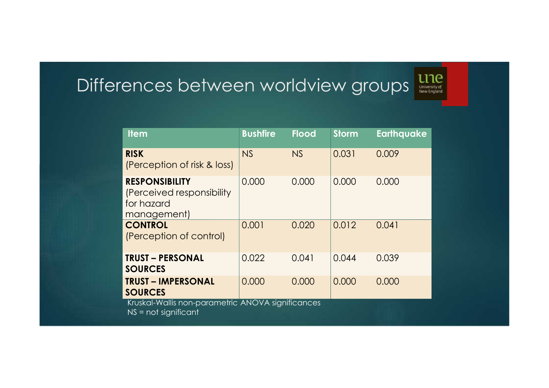# Differences between worldview groups



| <b>Item</b>                                                                      | <b>Bushfire</b> | <b>Flood</b> | <b>Storm</b> | <b>Earthquake</b> |
|----------------------------------------------------------------------------------|-----------------|--------------|--------------|-------------------|
| <b>RISK</b><br>(Perception of risk & loss)                                       | NS              | NS           | 0.031        | 0.009             |
| <b>RESPONSIBILITY</b><br>(Perceived responsibility)<br>for hazard<br>management) | 0.000           | 0.000        | 0.000        | 0.000             |
| <b>CONTROL</b><br>(Perception of control)                                        | 0.001           | 0.020        | 0.012        | 0.041             |
| <b>TRUST - PERSONAL</b><br><b>SOURCES</b>                                        | 0.022           | 0.041        | 0.044        | 0.039             |
| <b>TRUST - IMPERSONAL</b><br><b>SOURCES</b>                                      | 0.000           | 0.000        | 0.000        | 0.000             |
| Kruskal-Wallis non-parametric ANOVA significances<br>$NS = not significant$      |                 |              |              |                   |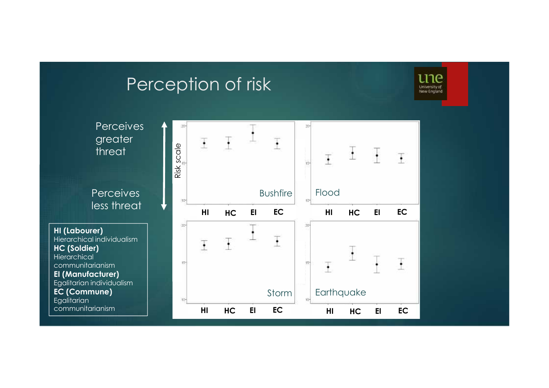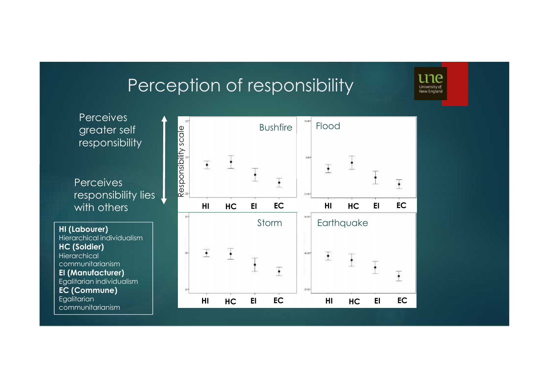# Perception of responsibility and the process of the second of  $\mathbf{C}$

**Perceives** greater self responsibility

**Perceives** responsibility lies with others

**HI (Labourer)** Hierarchical individualism **HC (Soldier) Hierarchical** communitarianism **EI (Manufacturer)** Egalitarian individualism **EC (Commune) Egalitarian** communitarianism

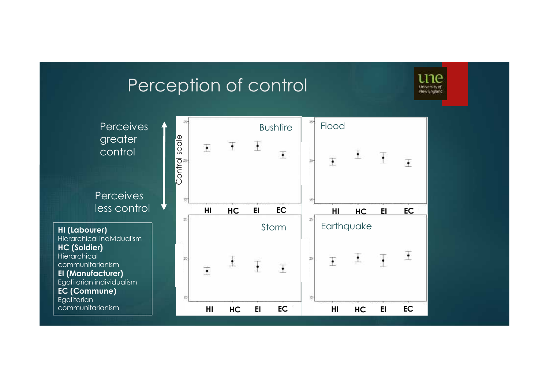# Perception of control

une University of<br>New England

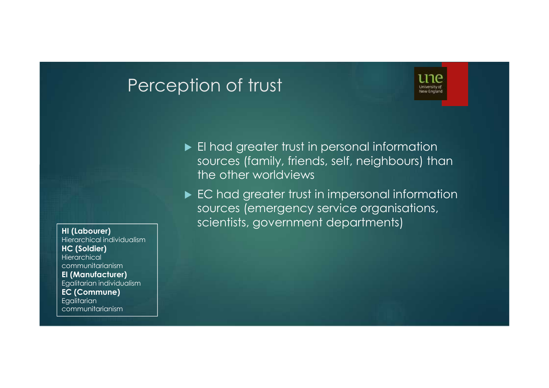## Perception of trust



EI had greater trust in personal information sources (family, friends, self, neighbours) than the other worldviews

EC had greater trust in impersonal information sources (emergency service organisations, scientists, government departments) **HI (Labourer)**

Hierarchical individualism **HC (Soldier) Hierarchical** communitarianism **EI (Manufacturer)** Egalitarian individualism **EC (Commune) Egalitarian** communitarianism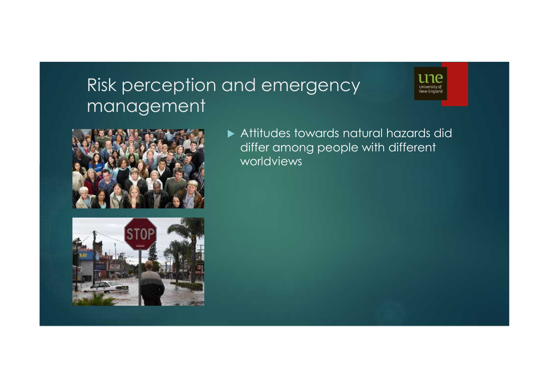# Risk perception and emergency management





 Attitudes towards natural hazards did differ among people with different worldviews